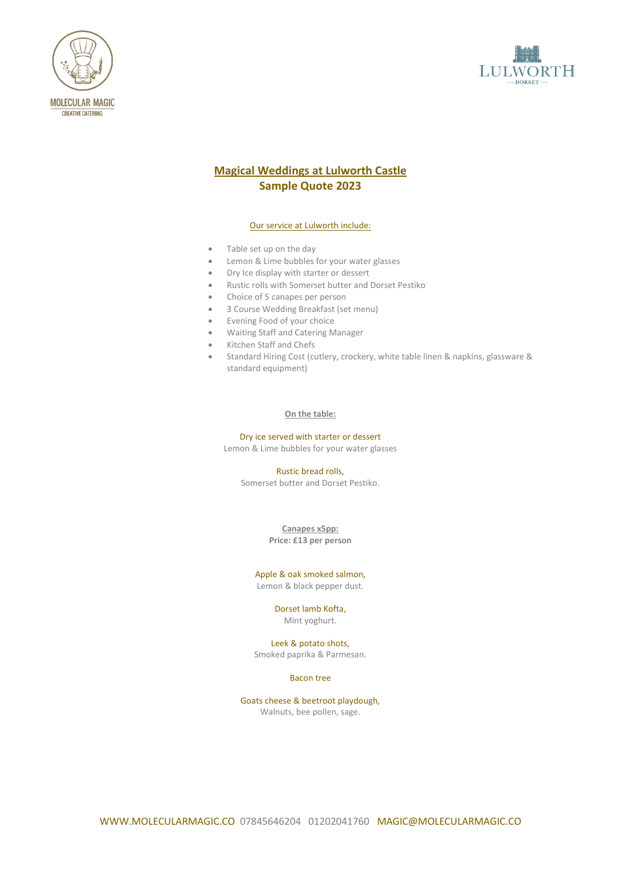



# **Magical Weddings at Lulworth Castle Sample Quote 2023**

#### Our service at Lulworth include:

- Table set up on the day
- Lemon & Lime bubbles for your water glasses
- Dry Ice display with starter or dessert
- Rustic rolls with Somerset butter and Dorset Pestiko
- Choice of 5 canapes per person
- 3 Course Wedding Breakfast (set menu)
- Evening Food of your choice
- Waiting Staff and Catering Manager
- Kitchen Staff and Chefs
- Standard Hiring Cost (cutlery, crockery, white table linen & napkins, glassware & standard equipment)

#### **On the table:**

Dry ice served with starter or dessert

Lemon & Lime bubbles for your water glasses

Rustic bread rolls, Somerset butter and Dorset Pestiko.

> **Canapes x5pp: Price: £13 per person**

#### Apple & oak smoked salmon, Lemon & black pepper dust.

Dorset lamb Kofta, Mint yoghurt.

Leek & potato shots, Smoked paprika & Parmesan.

## Bacon tree

Goats cheese & beetroot playdough, Walnuts, bee pollen, sage.